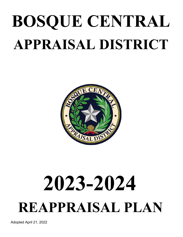# **BOSQUE CENTRAL APPRAISAL DISTRICT**



# **2023-2024 REAPPRAISAL PLAN**

Adopted April 21, 2022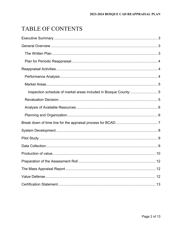## TABLE OF CONTENTS

| Inspection schedule of market areas included in Bosque County:5 |  |
|-----------------------------------------------------------------|--|
|                                                                 |  |
|                                                                 |  |
|                                                                 |  |
|                                                                 |  |
|                                                                 |  |
|                                                                 |  |
|                                                                 |  |
|                                                                 |  |
|                                                                 |  |
|                                                                 |  |
|                                                                 |  |
|                                                                 |  |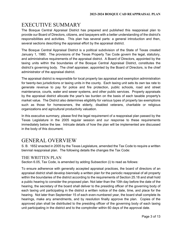## EXECUTIVE SUMMARY

The Bosque Central Appraisal District has prepared and published this reappraisal plan to provide our Board of Directors, citizens, and taxpayers with a better understanding of the district's responsibilities and activities. This plan has several parts: a general introduction and then, several sections describing the appraisal effort by the appraisal district.

The Bosque Central Appraisal District is a political subdivision of the State of Texas created January 1, 1980. The provisions of the Texas Property Tax Code govern the legal, statutory, and administrative requirements of the appraisal district. A Board of Directors, appointed by the taxing units within the boundaries of the Bosque Central Appraisal District, constitutes the district's governing body. The chief appraiser, appointed by the Board of Directors, is the chief administrator of the appraisal district.

The appraisal district is responsible for local property tax appraisal and exemption administration for twenty-two jurisdictions or taxing units in the county. Each taxing unit sets its own tax rate to generate revenue to pay for police and fire protection, public schools, road and street maintenance, courts, water and sewer systems, and other public services. Property appraisals by the appraisal district allocate the year's tax burden on the basis of each taxable property's market value. The District also determines eligibility for various types of property tax exemptions such as those for homeowners, the elderly, disabled veterans, charitable or religious organizations and agricultural productivity valuation.

In this executive summary, please find the legal requirement of a reappraisal plan passed by the Texas Legislature in the 2005 regular session and our response to these requirements immediately below the law. Intricate details of how the plan will be implemented are discussed in the body of this document.

## GENERAL OVERVIEW

S. B. 1652 enacted in 2005 by the Texas Legislature, amended the Tax Code to require a written biennial reappraisal plan. The following details the changes the Tax Code:

#### THE WRITTEN PLAN

Section 6.05, Tax Code, is amended by adding Subsection (i) to read as follows:

To ensure adherence with generally accepted appraisal practices, the board of directors of an appraisal district shall develop biennially a written plan for the periodic reappraisal of all property within the boundaries of the district according to the requirements of Section 25.18 and shall hold a public hearing to consider the proposed plan. Not later than the 10th day before the date of the hearing, the secretary of the board shall deliver to the presiding officer of the governing body of each taxing unit participating in the district a written notice of the date, time, and place for the hearing. Not later than September 15 of each even-numbered year, the board shall complete its hearings, make any amendments, and by resolution finally approve the plan. Copies of the approved plan shall be distributed to the presiding officer of the governing body of each taxing unit participating in the district and to the comptroller within 60 days of the approval date.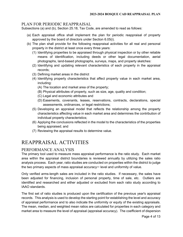#### PLAN FOR PERIODIC REAPPRAISAL

Subsections (a) and (b), Section 25.18, Tax Code, are amended to read as follows:

- (a) Each appraisal office shall implement the plan for periodic reappraisal of property approved by the board of directors under Section 6.05(i).
- (b) The plan shall provide for the following reappraisal activities for all real and personal property in the district at least once every three years:
	- (1) Identifying properties to be appraised through physical inspection or by other reliable means of identification, including deeds or other legal documentation, aerial photographs, land-based photographs, surveys, maps, and property sketches:
	- (2) Identifying and updating relevant characteristics of each property in the appraisal records;
	- (3) Defining market areas in the district
	- (4) Identifying property characteristics that affect property value in each market area, including:
		- (A) The location and market area of the property;
		- (B) Physical attributes of property, such as size, age, quality and condition;
		- (C) Legal and economic attributes and
		- (D) Easements, covenants, leases, reservations, contracts, declarations, special assessments, ordinances, or legal restrictions;
	- (5) Developing an appraisal model that reflects the relationship among the property characteristics affecting value in each market area and determines the contribution of individual property characteristics;
	- (6) Applying the conclusions reflected in the model to the characteristics of the properties being appraised; and
	- (7) Reviewing the appraisal results to determine value.

## REAPPRAISAL ACTIVITIES

#### PERFORMANCE ANALYSIS

The primary tool used to measure mass appraisal performance is the ratio study. Each market area within the appraisal district boundaries is reviewed annually by utilizing the sales ratio analysis process. Each year, ratio studies are conducted on properties within the district to judge the two primary aspects of mass appraisal accuracy— level and uniformity of value.

Only verified arms-length sales are included in the ratio studies. If necessary, the sales have been adjusted for financing, inclusion of personal property, time of sale, etc. Outliers are identified and researched and either adjusted or excluded from each ratio study according to IAAO standards.

The first set of ratio studies is produced upon the certification of the previous year's appraisal records. This analysis is used to develop the starting point for establishing the level and accuracy of appraisal performance and to also indicate the uniformity or equity of the existing appraisals. The mean, median, and weighted mean ratios are calculated for properties in each category and market area to measure the level of appraisal (appraisal accuracy). The coefficient of dispersion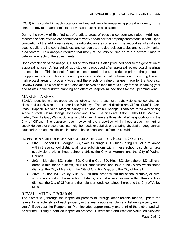(COD) is calculated in each category and market area to measure appraisal uniformity. The standard deviation and coefficient of variation are also calculated.

During the review of this first set of studies, areas of possible concern are noted. Additional research or field reviews are conducted to verify and/or correct property characteristic data. Upon completion of the additional review, the ratio studies are run again. The second set of studies is used to calibrate the cost schedules, land schedules, and depreciation tables and to apply market area factors. This analysis requires that many of the ratio studies be re-run several times to determine effects of the adjustments.

Upon completion of the analysis, a set of ratio studies is also produced prior to the generation of appraisal notices. A final set of ratio studies is produced after appraisal review board hearings are completed. This final set of studies is compared to the set produced prior to the generation of appraisal notices. This comparison provides the district with information concerning low and high protest areas or property types and the effects of value changes made by the Appraisal Review Board. This set of ratio studies also serves as the first ratio study for the upcoming year and assists in the district's planning and effective reappraisal decisions for the upcoming year.

#### MARKET AREAS

BCAD's identified market areas are as follows: rural areas, rural subdivisions, school districts, cities, and subdivisions on or near Lake Whitney. The school districts are Clifton, Cranfills Gap, Iredell, Kopperl, Meridian, Morgan, Valley Mills, and Walnut Springs. There are three overlapping school districts, China Springs, Jonesboro and Hico. The cities are Clifton, Valley Mills, Meridian, Iredell, Cranfills Gap, Walnut Springs, and Morgan. There are three identified neighborhoods in the City of Clifton. The appraiser upon review of the properties within these areas may further subdivide some of these areas into neighborhoods or subdivisions sharing physical or geographical boundaries, or legal restrictions in order to be as equal and uniform as possible.

#### INSPECTION SCHEDULE OF MARKET AREAS INCLUDED IN BOSQUE COUNTY:

- 2023 Kopperl ISD, Morgan ISD, Walnut Springs ISD, China Spring ISD, all rural areas within these school districts, all rural subdivisions within these school districts, all lake subdivisions within these school districts, the City of Morgan, and the City of Walnut Springs.
- 2024 Meridian ISD, Iredell ISD, Cranfills Gap ISD, Hico ISD, Jonesboro ISD, all rural areas within these districts, all rural subdivisions and lake subdivisions within these districts, the City of Meridian, the City of Cranfills Gap, and the City of Iredell.
- 2025 Clifton ISD, Valley Mills ISD, all rural areas within the school districts, all rural subdivisions within these school districts, and lake subdivisions within these school districts, the City of Clifton and the neighborhoods contained there, and the City of Valley Mills.

#### REVALUATION DECISION

The district will, through the inspection process or through other reliable means, update the relevant characteristics of each property in the year's appraisal plan and list new property each year.\* Each year the Reappraisal Plan includes approximately one third of the district and will be worked utilizing a detailed inspection process. District staff and Western Valuation Services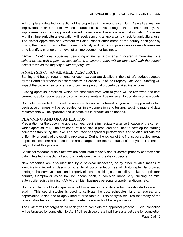will complete a detailed inspection of the properties in the reappraisal plan. As well as any new improvements or properties whose characteristics have changed in the entire county. All improvements in the Reappraisal plan will be reclassed based on new cost models. Properties with first time agricultural evaluation will receive an onsite appraisal to check for agricultural use. The district appraisers and Western will also inspect other areas of the county each year by driving the roads or using other means to identify and list new improvements or new businesses or to identify a change or removal of an improvement or business.

\* *Note: Contiguous properties, belonging to the same owner and located in more than one school district with a planned inspection in a different year, will be appraised with the school district in which the majority of the property lies.* 

#### ANALYSIS OF AVAILABLE RESOURCES

Staffing and budget requirements for each tax year are detailed in the district's budget adopted by the Board of Directors in accordance with Section 6.06 of the Property Tax Code. Staffing will impact the cycle of real property and business personal property detailed inspections.

Existing appraisal practices, which are continued from year to year, will be reviewed and kept current. Capitalization rates and current market rents will be reviewed to update income models.

Computer generated forms will be reviewed for revisions based on year and reappraisal status. Legislative changes will be scheduled for timely completion and testing. Existing map and data requirements will be specified and updates put in production as needed.

#### PLANNING AND ORGANIZATION

Preparation for the upcoming appraisal year begins immediately after certification of the current year's appraisal roll. The first set of ratio studies is produced and used to develop the starting point for establishing the level and accuracy of appraisal performance and to also indicate the uniformity or equity of the existing appraisals. During the review of this first set of studies, areas of possible concern are noted in the areas targeted for the reappraisal of that year. The end of July will start this process.

Additional research or field reviews are conducted to verify and/or correct property characteristic data. Detailed inspection of approximately one third of the district begins.

New properties are also identified by a physical inspection, or by other reliable means of identification, including deeds or other legal documentation, aerial photographs, land-based photographs, surveys, maps, and property sketches, building permits, utility hookups, septic tank permits, Comptroller sales tax list, phone book, subdivision maps, city building permits, automobile registration list, FAA Aircraft List, business personal property renditions, etc.

Upon completion of field inspections, additional review, and data entry, the ratio studies are run again. This set of studies is used to calibrate the cost schedules, land schedules, and depreciation tables and to apply market area factors. This analysis requires that many of the ratio studies be re-run several times to determine effects of the adjustments.

The District will set target dates each year to complete the appraisal process. Field inspection will be targeted for completion by April 15th each year. Staff will have a target date for completion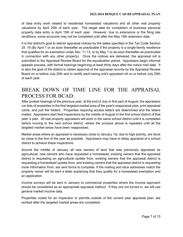of data entry work related to residential homestead valuations and all other real property valuations by April 25th of each year. The target date for completion of business personal property data entry is April 15th of each year. However, due to extensions or the filing late renditions, some accounts may not be completed until after the May 15th extension date.

It is the district's goal to deliver appraisal notices by the dates specified in the Tax Code Section 25 .19 (By April 1 or as soon thereafter as practicable if the property is a single-family residence that qualifies for an exemption under Sec. 11.13, or by May 1 or as soon thereafter as practicable in connection with any other property). Once the notices are delivered, the appraisal roll is submitted to the Appraisal Review Board for the equalization period. Appraisers begin informal appeals process, with formal hearings beginning at least thirty days after the notice mail date. It is also the goal of the district to obtain approval of the appraisal records by the Appraisal Review Board on or before July 20th and to certify each taxing unit's appraisal roll on or before July 25th of each year.

### BREAK DOWN OF TIME LINE FOR THE APPRAISAL PROCESS FOR BCAD:

After protest hearings of the previous year, at the end of July or first part of August, the appraisers run lists of properties in the first targeted market area of the year's reappraisal plan, print appraisal cards, and pull the folders. Properties requiring access letters are determined and the letters mailed. Appraisers start field inspections by the middle of August in the first school district of that year 's plan. All real property appraisers will work in the same school district until it is completed before moving to the next school district, where the process above is repeated until all the targeted market areas have been reappraised.

Market areas where an appraisal is necessary close to January 1st, due to high activity, are done as close to the first of the year as possible. Appraisers may have to delay appraisal of a school district to achieve these inspections.

Around the middle of January all new owners of land that was previously appraised as agricultural, new owners who have requested a homestead, existing owners that the appraisal district is requesting an agricultural update from, existing owners that the appraisal district is requesting a homestead update from, and existing owners that the appraisal district is requesting more information from, are sent forms to complete. If the mailing and situs addresses match the property owner will be sent a letter explaining that they qualify for a homestead exemption and an application.

Income surveys will be sent in January to commercial properties where the income approach should be considered as an appropriate appraisal method. If they are not turned in, we will use general market income data.

Properties coded for an inspection or permits outside of the current year appraisal plan, are worked after the targeted market areas are completed.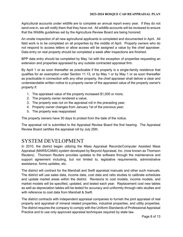Agricultural accounts under wildlife are to complete an annual report every year. If they do not send one in, we will notify them that they have not. All wildlife accounts will be reviewed to ensure that the Wildlife guidelines set by the Agriculture Review Board are being honored.

An onsite inspection of all new agricultural applicants is completed and documented in April. All field work is to be completed on all properties by the middle of April. Property owners who do not respond to access letters or allow access will be assigned a value by the chief appraiser. Data entry on real property should be completed a week after inspections are finished.

BPP data entry should be completed by May 1st with the exception of properties requesting an extension and properties appraised by any outside contracted appraisal firm.

By April 1 or as soon thereafter as practicable if the property is a single-family residence that qualifies for an exemption under Section 11.13, or by May 1 or by May 1 or as soon thereafter as practicable in connection with any other property, the chief appraiser shall deliver a clear and understandable written notice to a property owner of the appraised value of the property owner's property if:

- 1. The appraised value of the property increased \$1,000 or more;
- 2. The property owner rendered a value;
- 3. The property was not on the appraisal roll in the preceding year;
- 4. Property owner changes from January 1st of the previous year;
- 5. The property was reappraised

The property owners have 30 days to protest from the date of the notice.

The appraisal roll is submitted to the Appraisal Review Board the first hearing. The Appraisal Review Board certifies the appraisal roll by July 25th.

## SYSTEM DEVELOPMENT

In 2010, the district began utilizing the Mass Appraisal Records/Computer Assisted Mass Appraisal (MARS/CAMA) system developed by Beyond Appraisal, Inc. (now known as Thomson Reuters). Thomson Reuters provides updates to the software through the maintenance and support agreement including, but not limited to, legislative requirements, administrative assistance, forms updates, etc.

The district will contract for the Marshall and Swift appraisal manuals and other such manuals. The district will use sales data, income data, cost data and ratio studies to calibrate schedules and update market areas within the district. Revisions to cost models, income models, and market models will be specified, updated, and tested each year. Replacement cost new tables as well as depreciation tables will be tested for accuracy and uniformity through ratio studies and with reference to cost data from Marshall & Swift.

The district contracts with independent appraisal companies to furnish the joint appraisal of real property and appraisal of mineral related properties, industrial properties, and utility properties. The district requires the company to comply with the Uniform Standards of Professional Appraisal Practice and to use only approved appraisal techniques required by state law.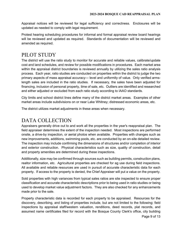Appraisal notices will be reviewed for legal sufficiency and correctness. Enclosures will be updated as needed to comply with legal requirement.

Protest hearing scheduling procedures for informal and formal appraisal review board hearings will be reviewed and updated as required. Standards of documentation will be reviewed and amended as required.

## PILOT STUDY

The district will use the ratio study to monitor for accurate and reliable values, calibrate/update cost and land schedules, and review for possible modifications in procedures. Each market area within the appraisal district boundaries is reviewed annually by utilizing the sales ratio analysis process. Each year, ratio studies are conducted on properties within the district to judge the two primary aspects of mass appraisal accuracy--- level and uniformity of value. Only verified armslength sales are included in the ratio studies. If necessary, the sales have been adjusted for financing, inclusion of personal property, time of sale, etc. Outliers are identified and researched and either adjusted or excluded from each ratio study according to IAAO standards.

City limits and school district lines define many of the district market areas. Examples of other market areas include subdivisions on or near Lake Whitney; distressed economic areas, etc.

The district utilizes market adjustments in these areas when necessary.

## DATA COLLECTION

Appraisers generally drive out to and work all the properties in the year's reappraisal plan. The field appraiser determines the extent of the inspection needed. Most inspections are performed onsite, a drive-by inspection, or aerial photos when available. Properties with changes such as new improvements, additions, swimming pools, etc. are conducted by an on-site detailed review. The inspection may include confirming the dimensions of structures and/or completion of interior and exterior construction. Physical characteristics such as size, quality of construction, detail and property amenities are determined during these inspections.

Additionally, size may be confirmed through sources such as building permits, construction plans, realtor information, etc. Agricultural properties are checked for ag use during field inspections. All available and reliable resources are used in pursuit of accurate characteristic data for each property. If access to the property is denied, the Chief Appraiser will put a value on the property.

Sold properties with high variances from typical sales ratios are site inspected to ensure proper classification and accurate characteristic descriptions prior to being used in ratio studies or being used to develop market value adjustment factors. They are also checked for any enhancements made prior to the sale.

Property characteristic data is recorded for each property to be appraised. Resources for the discovery, describing, and listing of properties include, but are not limited to the following: field inspections by appraisal staff/western valuation, renditions, deed records, plat records, and assumed name certificates filed for record with the Bosque County Clerk's office, city building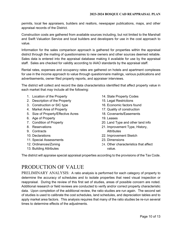permits, local fee appraisers, builders and realtors, newspaper publications, maps, and other appraisal records of the District.

Construction costs are gathered from available sources including, but not limited to the Marshall and Swift Valuation Service and local builders and developers for use in the cost approach to value.

Information for the sales comparison approach is gathered for properties within the appraisal district through the mailing of questionnaires to new owners and other sources deemed reliable. Sales data is entered into the appraisal database making it available for use by the appraisal staff. Sales are checked for validity according to IAAO standards by the appraisal staff.

Rental rates, expenses and occupancy rates are gathered on hotels and apartment complexes for use in the income approach to value through questionnaire mailings, various publications and advertisements, owner filed property reports, and appraiser interviews.

The district will collect and record the data characteristics identified that affect property value in each market that *may* include all the following:

- 1. Location of the Property
- 2. Description of the Property
- 3. Construction or SIC type
- 4. Market Area of Property
- 5. Size of Property/Effective Acres
- 6. Age of Property
- 7. Condition of Property
- 8. Reservations
- 9. Contracts
- 10. Declarations
- 11. Special Assessments
- 12. Ordinances/Zoning
- 13. Building Attributes
- 14. State Property Codes
- 15. Legal Restrictions
- 16. Economic factors found
- 17. Quality of construction
- 18. Covenants/Easements
- 19. Leases
- 20. Land Type and other land info
- 21. Improvement Type, History, **Attributes**
- 22. Improvement Sketch
- 23. Dimensions
- 24. Other characteristics that affect value.

The district will appraise special appraisal properties according to the provisions of the Tax Code.

## PRODUCTION OF VALUE

PRELIMINARY ANALYSIS: A ratio analysis is performed for each category of property to determine the accuracy of schedules and to isolate properties that need visual inspection or reappraisal. During the review of this first set of studies, areas of possible concern are noted. Additional research or field reviews are conducted to verify and/or correct property characteristic data. Upon completion of the additional review, the ratio studies are run again. The second set of studies is used to calibrate the cost schedules, land schedules, and depreciation tables and to apply market area factors. This analysis requires that many of the ratio studies be re-run several times to determine effects of the adjustments.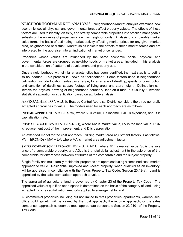NEIGHBORHOOD/MARKET ANALYSIS:Neighborhood/Market analysis examines how economic, social, physical, and governmental forces affect property values. The effects of these factors are used to identify, classify, and stratify comparable properties into smaller, manageable subsets of the universe of properties known as neighborhoods. Analysis of comparable market sales forms the basis of estimating market activity affecting market prices for any given market area, neighborhood or district. Market sales indicate the effects of these market forces and are interpreted by the appraiser into an indication of market price ranges.

Properties whose values are influenced by the same economic, social, physical, and governmental forces are grouped as neighborhoods or market areas. Included in this analysis is the consideration of patterns of development and property use.

Once a neighborhood with similar characteristics has been identified, the next step is to define its boundaries. This process is known as "delineation." Some factors used in neighborhood delineation include location, sales price range, lot size, age of dwelling, quality of construction and condition of dwellings, square footage of living area, and story height. Delineation can involve the physical drawing of neighborhood boundary lines on a map, but usually it involves statistical separation or stratification based on attribute analysis.

APPROACHES TO VALUE: Bosque Central Appraisal District considers the three generally accepted approaches to value. The models used for each approach are as follows:

**INCOME APPROACH:** V = I -EXP/R, where V is value, I is income, EXP is expenses, and R is capitalization rate.

**COST APPROACH:** MV = LV + (RCN -D), where MV is market value, LV is the land value, RCN is replacement cost of the improvement, and D is depreciation.

An extended model for the cost approach, utilizing market area adjustment factors is as follows:  $MV = [(RCN-D) \times MA] + LV$ , where MA is market area adjustment factor.

**SALES COMPARISON APPROACH:** MV = Sc + ADJc, where MV is market value, Sc is the sale price of a comparable property, and ADJc is the total dollar adjustment to the sale price of the comparable for differences between attributes of the comparable and the subject property.

Single-family and multi-family residential properties are appraised using a combined cost- market approach to value. Residential improved and vacant property, when qualified as an inventory, will be appraised in compliance with the Texas Property Tax Code, Section 23.12(a). Land is appraised by the sales comparison approach to value.

The appraisal of agricultural land is governed by Chapter 23 of the Property Tax Code. The appraised value of qualified open-space is determined on the basis of the category of land, using accepted income capitalization methods applied to average net to land.

All commercial properties including but not limited to retail properties, apartments, warehouses, office buildings etc. will be valued by the cost approach, the income approach, or the sales comparison approach as deemed most appropriate pursuant to Section 23.0101 of the Property Tax Code.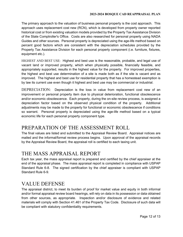The primary approach to the valuation of business personal property is the cost approach. This approach uses replacement cost new (RCN), which is developed from property owner reported historical cost or from existing valuation models provided by the Property Tax Assistance Division of the State Comptroller's Office. Costs are also researched for personal property using NADA Guides and other sources. Personal property is depreciated using the age-life method based on percent good factors which are consistent with the depreciation schedules provided by the Property Tax Assistance Division for each personal property component (i.e. furniture, fixtures, equipment etc.).

HIGHEST AND BEST USE: Highest and best use is the reasonable, probable, and legal use of vacant land or improved property, which when physically possible, financially feasible, and appropriately supported, results in the highest value for the property. For improved properties, the highest and best use determination of a site is made both as if the site is vacant and as improved. The highest and best use for residential property that has a homestead exemption is by law its current use even though it highest and best use may be commercial or industrial.

DEPRECIATION: Depreciation is the loss in value from replacement cost new of an improvement or personal property item due to physical deterioration, functional obsolescence and/or economic obsolescence. Each property, during the on-site review process, is assigned a depreciation factor based on the observed physical condition of the property. Additional adjustments may be made to the property for functional or economic obsolescence if conditions so warrant. Personal property is depreciated using the age-life method based on a typical economic life for each personal property component type.

## PREPARATION OF THE ASSESSMENT ROLL

The final values are listed and submitted to the Appraisal Review Board. Appraisal notices are mailed and the informal/formal review process begins. Upon approval of the appraisal records by the Appraisal Review Board, the appraisal roll is certified to each taxing unit.

## THE MASS APPRAISAL REPORT

Each tax year, the mass appraisal report is prepared and certified by the chief appraiser at the end of the appraisal phase. The mass appraisal report is completed in compliance with USPAP Standard Rule 6-8. The signed certification by the chief appraiser is compliant with USPAP Standard Rule 6-9.

## VALUE DEFENSE

The appraisal district, to meet its burden of proof for market value and equity in both informal and/or formal appraisal review board hearings, will rely on data in its possession or data obtained from other sources, as appropriate. Inspection and/or disclosure of evidence and related materials will comply with Section 41.461 of the Property Tax Code. Disclosure of such data will be compliant with statutory confidentiality requirements.